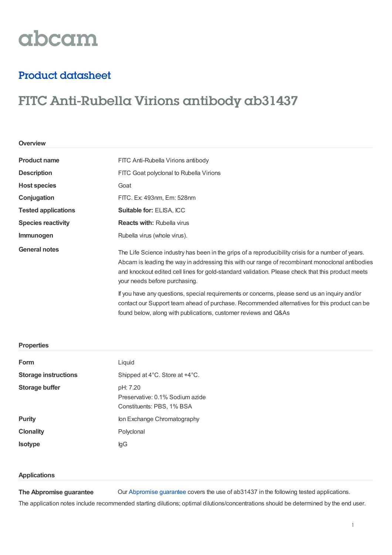# abcam

### Product datasheet

## FITC Anti-Rubella Virions antibody ab31437

| Overview                   |                                                                                                                                                                                                                                                                                                                                             |  |
|----------------------------|---------------------------------------------------------------------------------------------------------------------------------------------------------------------------------------------------------------------------------------------------------------------------------------------------------------------------------------------|--|
| <b>Product name</b>        | FITC Anti-Rubella Virions antibody                                                                                                                                                                                                                                                                                                          |  |
| <b>Description</b>         | FITC Goat polyclonal to Rubella Virions                                                                                                                                                                                                                                                                                                     |  |
| <b>Host species</b>        | Goat                                                                                                                                                                                                                                                                                                                                        |  |
| Conjugation                | FITC. Ex: 493nm, Em: 528nm                                                                                                                                                                                                                                                                                                                  |  |
| <b>Tested applications</b> | <b>Suitable for: ELISA, ICC</b>                                                                                                                                                                                                                                                                                                             |  |
| <b>Species reactivity</b>  | <b>Reacts with: Rubella virus</b>                                                                                                                                                                                                                                                                                                           |  |
| <b>Immunogen</b>           | Rubella virus (whole virus).                                                                                                                                                                                                                                                                                                                |  |
| <b>General notes</b>       | The Life Science industry has been in the grips of a reproducibility crisis for a number of years.<br>Abcam is leading the way in addressing this with our range of recombinant monoclonal antibodies<br>and knockout edited cell lines for gold-standard validation. Please check that this product meets<br>your needs before purchasing. |  |
|                            | If you have any questions, special requirements or concerns, please send us an inquiry and/or<br>contact our Support team ahead of purchase. Recommended alternatives for this product can be<br>found below, along with publications, customer reviews and Q&As                                                                            |  |

### **Properties**

| Form                        | Liquid                                                                   |  |  |
|-----------------------------|--------------------------------------------------------------------------|--|--|
| <b>Storage instructions</b> | Shipped at 4°C. Store at +4°C.                                           |  |  |
| Storage buffer              | pH: 7.20<br>Preservative: 0.1% Sodium azide<br>Constituents: PBS, 1% BSA |  |  |
| <b>Purity</b>               | Ion Exchange Chromatography                                              |  |  |
| <b>Clonality</b>            | Polyclonal                                                               |  |  |
| <b>Isotype</b>              | lgG                                                                      |  |  |
|                             |                                                                          |  |  |

#### **Applications**

**The Abpromise guarantee**

Our [Abpromise](https://www.abcam.com/abpromise) guarantee covers the use of ab31437 in the following tested applications.

The application notes include recommended starting dilutions; optimal dilutions/concentrations should be determined by the end user.